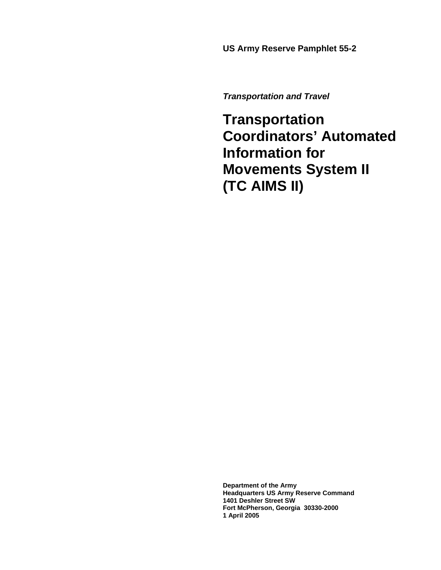**US Army Reserve Pamphlet 55-2** 

*Transportation and Travel* 

**Transportation Coordinators' Automated Information for Movements System II (TC AIMS II)** 

**Department of the Army Headquarters US Army Reserve Command 1401 Deshler Street SW Fort McPherson, Georgia 30330-2000 1 April 2005**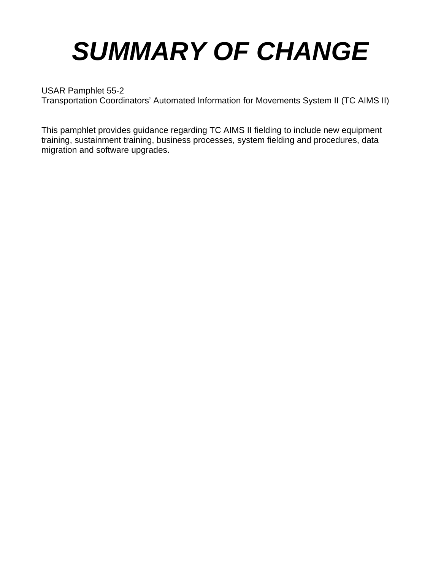# *SUMMARY OF CHANGE*

# USAR Pamphlet 55-2

Transportation Coordinators' Automated Information for Movements System II (TC AIMS II)

This pamphlet provides guidance regarding TC AIMS II fielding to include new equipment training, sustainment training, business processes, system fielding and procedures, data migration and software upgrades.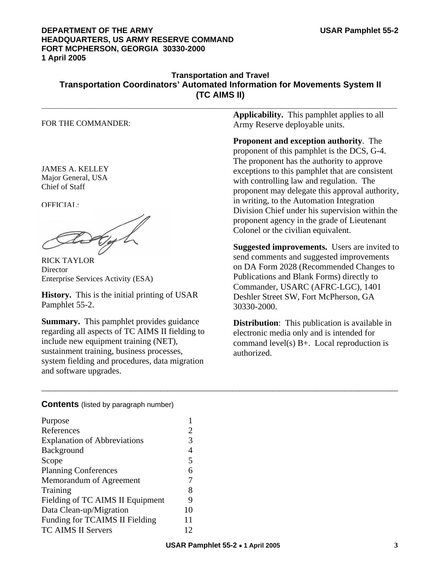#### **DEPARTMENT OF THE ARMY USAR Pamphlet 55-2 HEADQUARTERS, US ARMY RESERVE COMMAND FORT MCPHERSON, GEORGIA 30330-2000 1 April 2005**

#### **Transportation and Travel Transportation Coordinators' Automated Information for Movements System II (TC AIMS II) \_\_\_\_\_\_\_\_\_\_\_\_\_\_\_\_\_\_\_\_\_\_\_\_\_\_\_\_\_\_\_\_\_\_\_\_\_\_\_\_\_\_\_\_\_\_\_\_\_\_\_\_\_\_\_\_\_\_\_\_\_\_\_\_\_\_\_\_\_\_\_\_\_\_**

#### FOR THE COMMANDER:

JAMES A. KELLEY Major General, USA Chief of Staff

OFFICIAL:

Gyl

RICK TAYLOR **Director** Enterprise Services Activity (ESA)

**History.** This is the initial printing of USAR Pamphlet 55-2.

**Summary.** This pamphlet provides guidance regarding all aspects of TC AIMS II fielding to include new equipment training (NET), sustainment training, business processes, system fielding and procedures, data migration and software upgrades.

**Applicability.** This pamphlet applies to all Army Reserve deployable units.

**Proponent and exception authority**. The proponent of this pamphlet is the DCS, G-4. The proponent has the authority to approve exceptions to this pamphlet that are consistent with controlling law and regulation. The proponent may delegate this approval authority, in writing, to the Automation Integration Division Chief under his supervision within the proponent agency in the grade of Lieutenant Colonel or the civilian equivalent.

**Suggested improvements.** Users are invited to send comments and suggested improvements on DA Form 2028 (Recommended Changes to Publications and Blank Forms) directly to Commander, USARC (AFRC-LGC), 1401 Deshler Street SW, Fort McPherson, GA 30330-2000.

**Distribution:** This publication is available in electronic media only and is intended for command level(s) B+. Local reproduction is authorized.

**Contents** (listed by paragraph number)

| Purpose                             |    |
|-------------------------------------|----|
| References                          | 2  |
| <b>Explanation of Abbreviations</b> | 3  |
| Background                          | 4  |
| Scope                               | 5  |
| <b>Planning Conferences</b>         | 6  |
| Memorandum of Agreement             | 7  |
| Training                            | 8  |
| Fielding of TC AIMS II Equipment    | 9  |
| Data Clean-up/Migration             | 10 |
| Funding for TCAIMS II Fielding      | 11 |
| <b>TC AIMS II Servers</b>           | 12 |

\_\_\_\_\_\_\_\_\_\_\_\_\_\_\_\_\_\_\_\_\_\_\_\_\_\_\_\_\_\_\_\_\_\_\_\_\_\_\_\_\_\_\_\_\_\_\_\_\_\_\_\_\_\_\_\_\_\_\_\_\_\_\_\_\_\_\_\_\_\_\_\_\_\_\_\_\_\_\_\_\_\_\_\_\_\_\_\_\_\_\_\_\_\_\_\_\_\_\_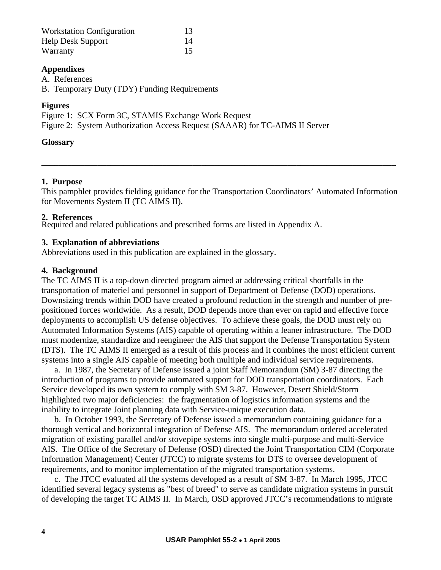| <b>Workstation Configuration</b> | 13 |
|----------------------------------|----|
| <b>Help Desk Support</b>         | 14 |
| Warranty                         | 15 |

#### **Appendixes**

A. References

B. Temporary Duty (TDY) Funding Requirements

#### **Figures**

Figure 1: SCX Form 3C, STAMIS Exchange Work Request

Figure 2: System Authorization Access Request (SAAAR) for TC-AIMS II Server

#### **Glossary**

#### **1. Purpose**

This pamphlet provides fielding guidance for the Transportation Coordinators' Automated Information for Movements System II (TC AIMS II).

\_\_\_\_\_\_\_\_\_\_\_\_\_\_\_\_\_\_\_\_\_\_\_\_\_\_\_\_\_\_\_\_\_\_\_\_\_\_\_\_\_\_\_\_\_\_\_\_\_\_\_\_\_\_\_\_\_\_\_\_\_\_\_\_\_\_\_\_\_\_\_\_\_\_\_\_\_\_\_\_\_\_

#### **2. References**

Required and related publications and prescribed forms are listed in Appendix A.

#### **3. Explanation of abbreviations**

Abbreviations used in this publication are explained in the glossary.

#### **4. Background**

The TC AIMS II is a top-down directed program aimed at addressing critical shortfalls in the transportation of materiel and personnel in support of Department of Defense (DOD) operations. Downsizing trends within DOD have created a profound reduction in the strength and number of prepositioned forces worldwide. As a result, DOD depends more than ever on rapid and effective force deployments to accomplish US defense objectives. To achieve these goals, the DOD must rely on Automated Information Systems (AIS) capable of operating within a leaner infrastructure. The DOD must modernize, standardize and reengineer the AIS that support the Defense Transportation System (DTS). The TC AIMS II emerged as a result of this process and it combines the most efficient current systems into a single AIS capable of meeting both multiple and individual service requirements.

 a. In 1987, the Secretary of Defense issued a joint Staff Memorandum (SM) 3-87 directing the introduction of programs to provide automated support for DOD transportation coordinators. Each Service developed its own system to comply with SM 3-87. However, Desert Shield/Storm highlighted two major deficiencies: the fragmentation of logistics information systems and the inability to integrate Joint planning data with Service-unique execution data.

 b. In October 1993, the Secretary of Defense issued a memorandum containing guidance for a thorough vertical and horizontal integration of Defense AIS. The memorandum ordered accelerated migration of existing parallel and/or stovepipe systems into single multi-purpose and multi-Service AIS. The Office of the Secretary of Defense (OSD) directed the Joint Transportation CIM (Corporate Information Management) Center (JTCC) to migrate systems for DTS to oversee development of requirements, and to monitor implementation of the migrated transportation systems.

 c. The JTCC evaluated all the systems developed as a result of SM 3-87. In March 1995, JTCC identified several legacy systems as "best of breed" to serve as candidate migration systems in pursuit of developing the target TC AIMS II. In March, OSD approved JTCC's recommendations to migrate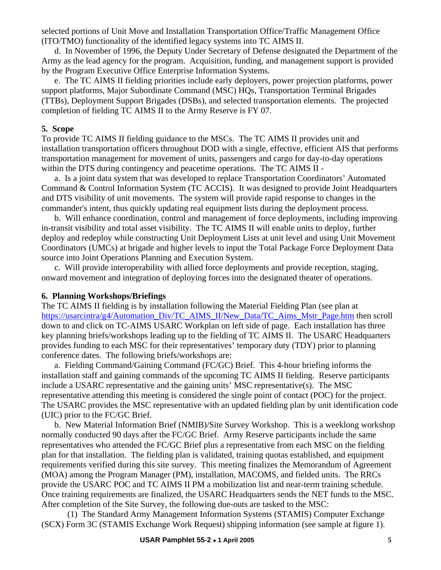selected portions of Unit Move and Installation Transportation Office/Traffic Management Office (ITO/TMO) functionality of the identified legacy systems into TC AIMS II.

 d. In November of 1996, the Deputy Under Secretary of Defense designated the Department of the Army as the lead agency for the program. Acquisition, funding, and management support is provided by the Program Executive Office Enterprise Information Systems.

 e. The TC AIMS II fielding priorities include early deployers, power projection platforms, power support platforms, Major Subordinate Command (MSC) HQs, Transportation Terminal Brigades (TTBs), Deployment Support Brigades (DSBs), and selected transportation elements. The projected completion of fielding TC AIMS II to the Army Reserve is FY 07.

#### **5. Scope**

To provide TC AIMS II fielding guidance to the MSCs. The TC AIMS II provides unit and installation transportation officers throughout DOD with a single, effective, efficient AIS that performs transportation management for movement of units, passengers and cargo for day-to-day operations within the DTS during contingency and peacetime operations. The TC AIMS II -

 a. Is a joint data system that was developed to replace Transportation Coordinators' Automated Command & Control Information System (TC ACCIS). It was designed to provide Joint Headquarters and DTS visibility of unit movements. The system will provide rapid response to changes in the commander's intent, thus quickly updating real equipment lists during the deployment process.

 b. Will enhance coordination, control and management of force deployments, including improving in-transit visibility and total asset visibility. The TC AIMS II will enable units to deploy, further deploy and redeploy while constructing Unit Deployment Lists at unit level and using Unit Movement Coordinators (UMCs) at brigade and higher levels to input the Total Package Force Deployment Data source into Joint Operations Planning and Execution System.

 c. Will provide interoperability with allied force deployments and provide reception, staging, onward movement and integration of deploying forces into the designated theater of operations.

#### **6. Planning Workshops/Briefings**

The TC AIMS II fielding is by installation following the Material Fielding Plan (see plan at [https://usarcintra/g4/Automation\\_Div/TC\\_AIMS\\_II/New\\_Data/TC\\_Aims\\_Mstr\\_Page.htm](https://usarcintra/g4/Automation_Div/TC_AIMS_II/New_Data/TC_Aims_Mstr_Page.htm) then scroll down to and click on TC-AIMS USARC Workplan on left side of page. Each installation has three key planning briefs/workshops leading up to the fielding of TC AIMS II. The USARC Headquarters provides funding to each MSC for their representatives' temporary duty (TDY) prior to planning conference dates. The following briefs/workshops are:

 a. Fielding Command/Gaining Command (FC/GC) Brief. This 4-hour briefing informs the installation staff and gaining commands of the upcoming TC AIMS II fielding. Reserve participants include a USARC representative and the gaining units' MSC representative(s). The MSC representative attending this meeting is considered the single point of contact (POC) for the project. The USARC provides the MSC representative with an updated fielding plan by unit identification code (UIC) prior to the FC/GC Brief.

 b. New Material Information Brief (NMIB)/Site Survey Workshop. This is a weeklong workshop normally conducted 90 days after the FC/GC Brief. Army Reserve participants include the same representatives who attended the FC/GC Brief plus a representative from each MSC on the fielding plan for that installation. The fielding plan is validated, training quotas established, and equipment requirements verified during this site survey. This meeting finalizes the Memorandum of Agreement (MOA) among the Program Manager (PM), installation, MACOMS, and fielded units. The RRCs provide the USARC POC and TC AIMS II PM a mobilization list and near-term training schedule. Once training requirements are finalized, the USARC Headquarters sends the NET funds to the MSC. After completion of the Site Survey, the following due-outs are tasked to the MSC:

 (1) The Standard Army Management Information Systems (STAMIS) Computer Exchange (SCX) Form 3C (STAMIS Exchange Work Request) shipping information (see sample at figure 1).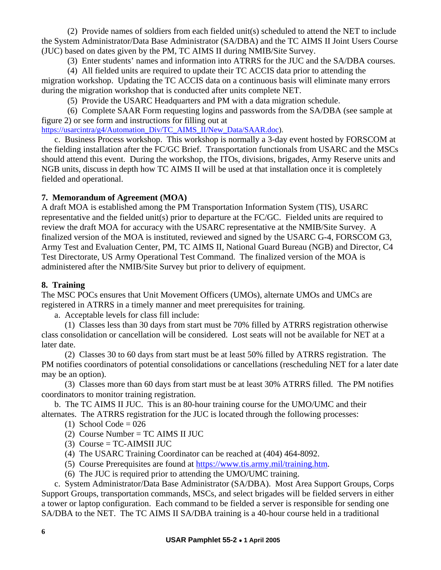(2) Provide names of soldiers from each fielded unit(s) scheduled to attend the NET to include the System Administrator/Data Base Administrator (SA/DBA) and the TC AIMS II Joint Users Course (JUC) based on dates given by the PM, TC AIMS II during NMIB/Site Survey.

(3) Enter students' names and information into ATRRS for the JUC and the SA/DBA courses.

 (4) All fielded units are required to update their TC ACCIS data prior to attending the migration workshop. Updating the TC ACCIS data on a continuous basis will eliminate many errors during the migration workshop that is conducted after units complete NET.

(5) Provide the USARC Headquarters and PM with a data migration schedule.

 (6) Complete SAAR Form requesting logins and passwords from the SA/DBA (see sample at figure 2) or see form and instructions for filling out at

[https://usarcintra/g4/Automation\\_Div/TC\\_AIMS\\_II/New\\_Data/SAAR.doc](https://usarcintra/g4/Automation_Div/TC_AIMS_II/New_Data/SAAR.doc)).

 c. Business Process workshop. This workshop is normally a 3-day event hosted by FORSCOM at the fielding installation after the FC/GC Brief. Transportation functionals from USARC and the MSCs should attend this event. During the workshop, the ITOs, divisions, brigades, Army Reserve units and NGB units, discuss in depth how TC AIMS II will be used at that installation once it is completely fielded and operational.

#### **7. Memorandum of Agreement (MOA)**

A draft MOA is established among the PM Transportation Information System (TIS), USARC representative and the fielded unit(s) prior to departure at the FC/GC. Fielded units are required to review the draft MOA for accuracy with the USARC representative at the NMIB/Site Survey. A finalized version of the MOA is instituted, reviewed and signed by the USARC G-4, FORSCOM G3, Army Test and Evaluation Center, PM, TC AIMS II, National Guard Bureau (NGB) and Director, C4 Test Directorate, US Army Operational Test Command. The finalized version of the MOA is administered after the NMIB/Site Survey but prior to delivery of equipment.

#### **8. Training**

The MSC POCs ensures that Unit Movement Officers (UMOs), alternate UMOs and UMCs are registered in ATRRS in a timely manner and meet prerequisites for training.

a. Acceptable levels for class fill include:

 (1) Classes less than 30 days from start must be 70% filled by ATRRS registration otherwise class consolidation or cancellation will be considered. Lost seats will not be available for NET at a later date.

 (2) Classes 30 to 60 days from start must be at least 50% filled by ATRRS registration. The PM notifies coordinators of potential consolidations or cancellations (rescheduling NET for a later date may be an option).

 (3) Classes more than 60 days from start must be at least 30% ATRRS filled. The PM notifies coordinators to monitor training registration.

 b. The TC AIMS II JUC. This is an 80-hour training course for the UMO/UMC and their alternates. The ATRRS registration for the JUC is located through the following processes:

(1) School Code =  $026$ 

- (2) Course Number =  $TC$  AIMS II JUC
- $(3)$  Course = TC-AIMSII JUC
- (4) The USARC Training Coordinator can be reached at (404) 464-8092.
- (5) Course Prerequisites are found at [https://www.tis.army.mil/training.htm.](https://www.tis.army.mil/training.htm)
- (6) The JUC is required prior to attending the UMO/UMC training.

 c. System Administrator/Data Base Administrator (SA/DBA). Most Area Support Groups, Corps Support Groups, transportation commands, MSCs, and select brigades will be fielded servers in either a tower or laptop configuration. Each command to be fielded a server is responsible for sending one SA/DBA to the NET. The TC AIMS II SA/DBA training is a 40-hour course held in a traditional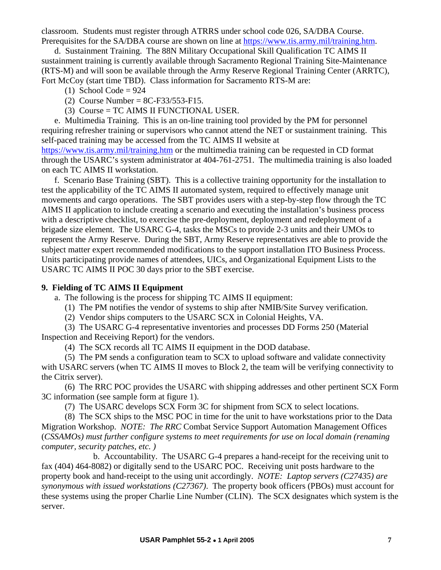classroom. Students must register through ATRRS under school code 026, SA/DBA Course. Prerequisites for the SA/DBA course are shown on line at [https://www.tis.army.mil/training.htm.](https://www.tis.army.mil/training.htm)

d. Sustainment Training. The 88N Military Occupational Skill Qualification TC AIMS II sustainment training is currently available through Sacramento Regional Training Site-Maintenance (RTS-M) and will soon be available through the Army Reserve Regional Training Center (ARRTC), Fort McCoy (start time TBD). Class information for Sacramento RTS-M are:

- $(1)$  School Code = 924
- (2) Course Number =  $8C$ -F33/553-F15.
- (3) Course = TC AIMS II FUNCTIONAL USER.

 e. Multimedia Training.This is an on-line training tool provided by the PM for personnel requiring refresher training or supervisors who cannot attend the NET or sustainment training. This self-paced training may be accessed from the TC AIMS II website at <https://www.tis.army.mil/training.htm> or the multimedia training can be requested in CD format through the USARC's system administrator at 404-761-2751. The multimedia training is also loaded on each TC AIMS II workstation.

 f. Scenario Base Training (SBT). This is a collective training opportunity for the installation to test the applicability of the TC AIMS II automated system, required to effectively manage unit movements and cargo operations. The SBT provides users with a step-by-step flow through the TC AIMS II application to include creating a scenario and executing the installation's business process with a descriptive checklist, to exercise the pre-deployment, deployment and redeployment of a brigade size element. The USARC G-4, tasks the MSCs to provide 2-3 units and their UMOs to represent the Army Reserve. During the SBT, Army Reserve representatives are able to provide the subject matter expert recommended modifications to the support installation ITO Business Process. Units participating provide names of attendees, UICs, and Organizational Equipment Lists to the USARC TC AIMS II POC 30 days prior to the SBT exercise.

#### **9. Fielding of TC AIMS II Equipment**

a. The following is the process for shipping TC AIMS II equipment:

- (1) The PM notifies the vendor of systems to ship after NMIB/Site Survey verification.
- (2) Vendor ships computers to the USARC SCX in Colonial Heights, VA.

 (3) The USARC G-4 representative inventories and processes DD Forms 250 (Material Inspection and Receiving Report) for the vendors.

(4) The SCX records all TC AIMS II equipment in the DOD database.

 (5) The PM sends a configuration team to SCX to upload software and validate connectivity with USARC servers (when TC AIMS II moves to Block 2, the team will be verifying connectivity to the Citrix server).

 (6) The RRC POC provides the USARC with shipping addresses and other pertinent SCX Form 3C information (see sample form at figure 1).

(7) The USARC develops SCX Form 3C for shipment from SCX to select locations.

 (8) The SCX ships to the MSC POC in time for the unit to have workstations prior to the Data Migration Workshop. *NOTE: The RRC* Combat Service Support Automation Management Offices (*CSSAMOs) must further configure systems to meet requirements for use on local domain (renaming computer, security patches, etc. )*

 b. Accountability. The USARC G-4 prepares a hand-receipt for the receiving unit to fax (404) 464-8082) or digitally send to the USARC POC. Receiving unit posts hardware to the property book and hand-receipt to the using unit accordingly. *NOTE: Laptop servers (C27435) are synonymous with issued workstations (C27367)*. The property book officers (PBOs) must account for these systems using the proper Charlie Line Number (CLIN). The SCX designates which system is the server.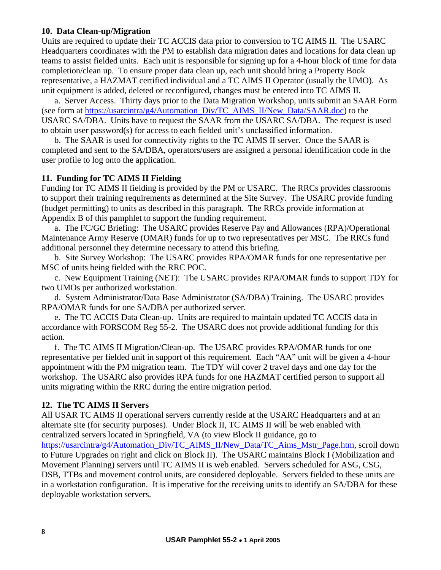#### **10. Data Clean-up/Migration**

Units are required to update their TC ACCIS data prior to conversion to TC AIMS II. The USARC Headquarters coordinates with the PM to establish data migration dates and locations for data clean up teams to assist fielded units. Each unit is responsible for signing up for a 4-hour block of time for data completion/clean up. To ensure proper data clean up, each unit should bring a Property Book representative, a HAZMAT certified individual and a TC AIMS II Operator (usually the UMO). As unit equipment is added, deleted or reconfigured, changes must be entered into TC AIMS II.

 a. Server Access. Thirty days prior to the Data Migration Workshop, units submit an SAAR Form (see form at [https://usarcintra/g4/Automation\\_Div/TC\\_AIMS\\_II/New\\_Data/SAAR.doc\)](https://usarcintra/g4/Automation_Div/TC_AIMS_II/New_Data/SAAR.doc) to the USARC SA/DBA. Units have to request the SAAR from the USARC SA/DBA. The request is used to obtain user password(s) for access to each fielded unit's unclassified information.

 b. The SAAR is used for connectivity rights to the TC AIMS II server. Once the SAAR is completed and sent to the SA/DBA, operators/users are assigned a personal identification code in the user profile to log onto the application.

#### **11. Funding for TC AIMS II Fielding**

Funding for TC AIMS II fielding is provided by the PM or USARC. The RRCs provides classrooms to support their training requirements as determined at the Site Survey. The USARC provide funding (budget permitting) to units as described in this paragraph. The RRCs provide information at Appendix B of this pamphlet to support the funding requirement.

 a. The FC/GC Briefing: The USARC provides Reserve Pay and Allowances (RPA)/Operational Maintenance Army Reserve (OMAR) funds for up to two representatives per MSC. The RRCs fund additional personnel they determine necessary to attend this briefing.

 b. Site Survey Workshop: The USARC provides RPA/OMAR funds for one representative per MSC of units being fielded with the RRC POC.

c. New Equipment Training (NET): The USARC provides RPA/OMAR funds to support TDY for two UMOs per authorized workstation.

 d. System Administrator/Data Base Administrator (SA/DBA) Training. The USARC provides RPA/OMAR funds for one SA/DBA per authorized server.

 e. The TC ACCIS Data Clean-up. Units are required to maintain updated TC ACCIS data in accordance with FORSCOM Reg 55-2. The USARC does not provide additional funding for this action.

 f. The TC AIMS II Migration/Clean-up. The USARC provides RPA/OMAR funds for one representative per fielded unit in support of this requirement. Each "AA" unit will be given a 4-hour appointment with the PM migration team. The TDY will cover 2 travel days and one day for the workshop. The USARC also provides RPA funds for one HAZMAT certified person to support all units migrating within the RRC during the entire migration period.

#### **12. The TC AIMS II Servers**

All USAR TC AIMS II operational servers currently reside at the USARC Headquarters and at an alternate site (for security purposes). Under Block II, TC AIMS II will be web enabled with centralized servers located in Springfield, VA (to view Block II guidance, go to https://usarcintra/g4/Automation\_Div/TC\_AIMS\_II/New\_Data/TC\_Aims\_Mstr\_Page.htm, scroll down to Future Upgrades on right and click on Block II). The USARC maintains Block I (Mobilization and Movement Planning) servers until TC AIMS II is web enabled. Servers scheduled for ASG, CSG, DSB, TTBs and movement control units, are considered deployable. Servers fielded to these units are in a workstation configuration. It is imperative for the receiving units to identify an SA/DBA for these deployable workstation servers.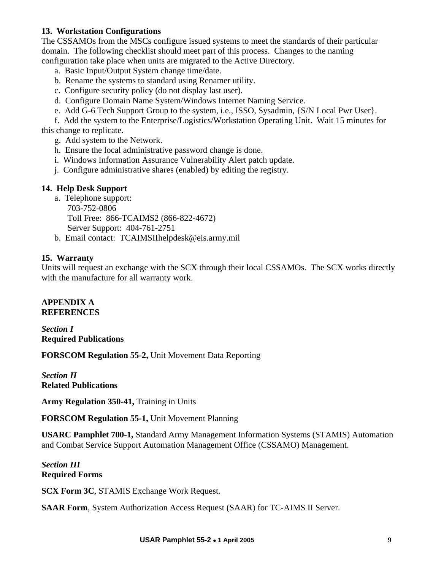#### **13. Workstation Configurations**

The CSSAMOs from the MSCs configure issued systems to meet the standards of their particular domain. The following checklist should meet part of this process. Changes to the naming configuration take place when units are migrated to the Active Directory.

- a. Basic Input/Output System change time/date.
- b. Rename the systems to standard using Renamer utility.
- c. Configure security policy (do not display last user).
- d. Configure Domain Name System/Windows Internet Naming Service.
- e. Add G-6 Tech Support Group to the system, i.e., ISSO, Sysadmin, {S/N Local Pwr User}.

 f. Add the system to the Enterprise/Logistics/Workstation Operating Unit. Wait 15 minutes for this change to replicate.

- g. Add system to the Network.
- h. Ensure the local administrative password change is done.
- i. Windows Information Assurance Vulnerability Alert patch update.
- j. Configure administrative shares (enabled) by editing the registry.

#### **14. Help Desk Support**

- a. Telephone support:
	- 703-752-0806

Toll Free: 866-TCAIMS2 (866-822-4672)

Server Support: 404-761-2751

b. Email contact: TCAIMSIIhelpdesk@eis.army.mil

#### **15. Warranty**

Units will request an exchange with the SCX through their local CSSAMOs. The SCX works directly with the manufacture for all warranty work.

#### **APPENDIX A REFERENCES**

*Section I*  **Required Publications** 

**FORSCOM Regulation 55-2,** Unit Movement Data Reporting

*Section II*  **Related Publications** 

**Army Regulation 350-41,** Training in Units

**FORSCOM Regulation 55-1,** Unit Movement Planning

**USARC Pamphlet 700-1,** Standard Army Management Information Systems (STAMIS) Automation and Combat Service Support Automation Management Office (CSSAMO) Management.

*Section III*  **Required Forms** 

**SCX Form 3C**, STAMIS Exchange Work Request.

**SAAR Form**, System Authorization Access Request (SAAR) for TC-AIMS II Server.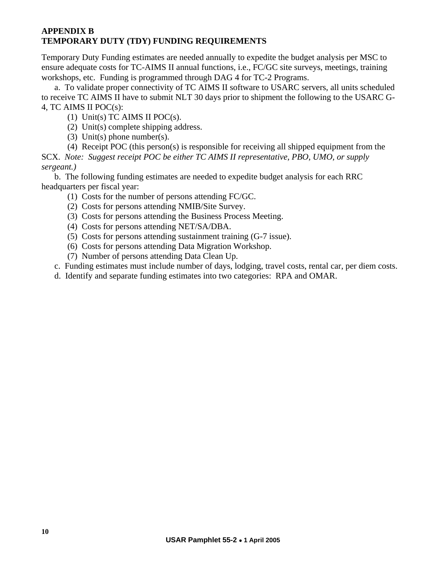#### **APPENDIX B TEMPORARY DUTY (TDY) FUNDING REQUIREMENTS**

Temporary Duty Funding estimates are needed annually to expedite the budget analysis per MSC to ensure adequate costs for TC-AIMS II annual functions, i.e., FC/GC site surveys, meetings, training workshops, etc. Funding is programmed through DAG 4 for TC-2 Programs.

a. To validate proper connectivity of TC AIMS II software to USARC servers, all units scheduled to receive TC AIMS II have to submit NLT 30 days prior to shipment the following to the USARC G-4, TC AIMS II POC(s):

- (1) Unit(s) TC AIMS II POC(s).
- (2) Unit(s) complete shipping address.
- (3) Unit(s) phone number(s).
- (4) Receipt POC (this person(s) is responsible for receiving all shipped equipment from the

SCX. *Note: Suggest receipt POC be either TC AIMS II representative, PBO, UMO, or supply sergeant.)* 

 b. The following funding estimates are needed to expedite budget analysis for each RRC headquarters per fiscal year:

- (1) Costs for the number of persons attending FC/GC.
- (2) Costs for persons attending NMIB/Site Survey.
- (3) Costs for persons attending the Business Process Meeting.
- (4) Costs for persons attending NET/SA/DBA.
- (5) Costs for persons attending sustainment training (G-7 issue).
- (6) Costs for persons attending Data Migration Workshop.
- (7) Number of persons attending Data Clean Up.
- c. Funding estimates must include number of days, lodging, travel costs, rental car, per diem costs.
- d. Identify and separate funding estimates into two categories: RPA and OMAR.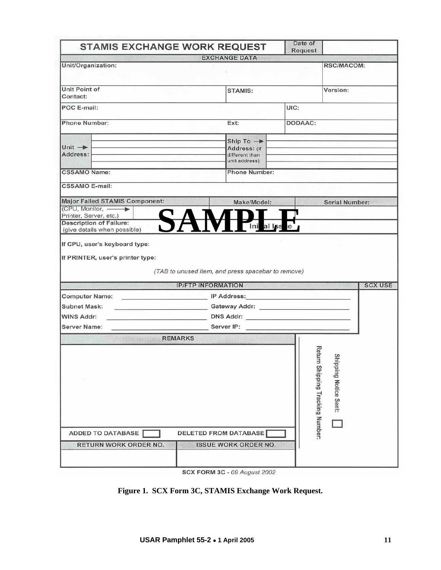| Date of<br><b>STAMIS EXCHANGE WORK REQUEST</b>                                                                        |                                                                          |                |                       |                |  |
|-----------------------------------------------------------------------------------------------------------------------|--------------------------------------------------------------------------|----------------|-----------------------|----------------|--|
|                                                                                                                       | <b>EXCHANGE DATA</b>                                                     | <b>Request</b> |                       |                |  |
| Unit/Organization:                                                                                                    |                                                                          |                | RSC/MACOM:            |                |  |
| Unit Point of<br>Contact:                                                                                             | <b>STAMIS:</b>                                                           |                |                       | Version:       |  |
| POC E-mail:                                                                                                           |                                                                          | UIC:           |                       |                |  |
| <b>Phone Number:</b>                                                                                                  | Ext:                                                                     | DODAAC:        |                       |                |  |
| Unit $\rightarrow$<br>Address:                                                                                        | Ship To $\rightarrow$<br>Address: (if<br>different than<br>unit address) |                |                       |                |  |
| <b>CSSAMO Name:</b>                                                                                                   | <b>Phone Number:</b>                                                     |                |                       |                |  |
| <b>CSSAMO E-mail:</b>                                                                                                 |                                                                          |                |                       |                |  |
| <b>Major Failed STAMIS Component:</b><br>(CPU, Monitor, -<br>Printer, Server, etc.)<br><b>Description of Failure:</b> | Make/Model:<br>Ini al Iss                                                |                | <b>Serial Number:</b> |                |  |
| (give details when possible)<br>If CPU, user's keyboard type:<br>If PRINTER, user's printer type:                     |                                                                          |                |                       |                |  |
|                                                                                                                       | (TAB to unused item, and press spacebar to remove)                       |                |                       |                |  |
|                                                                                                                       | <b>IP/FTP INFORMATION</b>                                                |                |                       | <b>SCX USE</b> |  |
| <b>Computer Name:</b>                                                                                                 |                                                                          |                |                       |                |  |
| ________________________________Gateway Addr: __________________________________<br><b>Subnet Mask:</b>               |                                                                          |                |                       |                |  |
| <b>WINS Addr:</b><br>DNS Addr:                                                                                        |                                                                          |                |                       |                |  |
| <b>Server Name:</b><br><b>REMARKS</b>                                                                                 | Server IP: <b>Server IP:</b>                                             |                |                       |                |  |

SCX FORM 3C - 09 August 2002

# **Figure 1. SCX Form 3C, STAMIS Exchange Work Request.**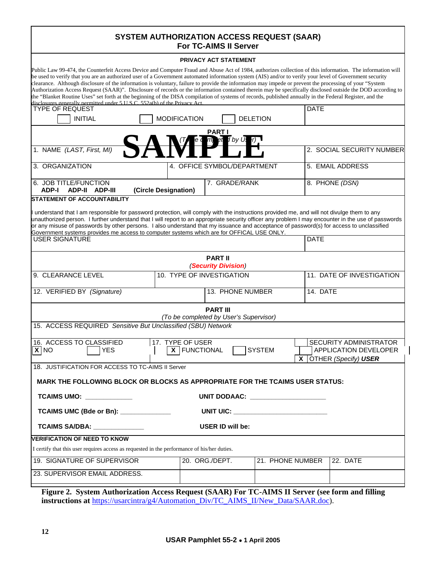#### **SYSTEM AUTHORIZATION ACCESS REQUEST (SAAR) For TC-AIMS II Server**

# **PRIVACY ACT STATEMENT**

|                                                                                                                                                                                                                                                                                                                                                                                                                                                                                                                                                                                                                                                                                                                                                                                                                                                                                           |                                    | PRIVACY ACT STATEMENT                                     |                                   |             |                                                                                  |
|-------------------------------------------------------------------------------------------------------------------------------------------------------------------------------------------------------------------------------------------------------------------------------------------------------------------------------------------------------------------------------------------------------------------------------------------------------------------------------------------------------------------------------------------------------------------------------------------------------------------------------------------------------------------------------------------------------------------------------------------------------------------------------------------------------------------------------------------------------------------------------------------|------------------------------------|-----------------------------------------------------------|-----------------------------------|-------------|----------------------------------------------------------------------------------|
| Public Law 99-474, the Counterfeit Access Device and Computer Fraud and Abuse Act of 1984, authorizes collection of this information. The information will<br>be used to verify that you are an authorized user of a Government automated information system (AIS) and/or to verify your level of Government security<br>clearance. Although disclosure of the information is voluntary, failure to provide the information may impede or prevent the processing of your "System"<br>Authorization Access Request (SAAR)". Disclosure of records or the information contained therein may be specifically disclosed outside the DOD according to<br>the "Blanket Routine Uses" set forth at the beginning of the DISA compilation of systems of records, published annually in the Federal Register, and the<br>disclosures generally permitted under 5 U.S.C. 552a(b) of the Privacy Act |                                    |                                                           |                                   |             |                                                                                  |
| <b>TYPE OF REQUEST</b>                                                                                                                                                                                                                                                                                                                                                                                                                                                                                                                                                                                                                                                                                                                                                                                                                                                                    |                                    |                                                           |                                   | <b>DATE</b> |                                                                                  |
| <b>INITIAL</b>                                                                                                                                                                                                                                                                                                                                                                                                                                                                                                                                                                                                                                                                                                                                                                                                                                                                            | <b>MODIFICATION</b>                |                                                           | <b>DELETION</b>                   |             |                                                                                  |
| 1. NAME (LAST, First, MI)                                                                                                                                                                                                                                                                                                                                                                                                                                                                                                                                                                                                                                                                                                                                                                                                                                                                 |                                    | <u>PART I</u><br>I by Us                                  |                                   |             | 2. SOCIAL SECURITY NUMBER                                                        |
|                                                                                                                                                                                                                                                                                                                                                                                                                                                                                                                                                                                                                                                                                                                                                                                                                                                                                           |                                    |                                                           |                                   |             |                                                                                  |
| 3. ORGANIZATION                                                                                                                                                                                                                                                                                                                                                                                                                                                                                                                                                                                                                                                                                                                                                                                                                                                                           | 4. OFFICE SYMBOL/DEPARTMENT        |                                                           | 5. EMAIL ADDRESS                  |             |                                                                                  |
| 6. JOB TITLE/FUNCTION<br><b>ADP-I</b><br><b>ADP-II ADP-III</b><br><b>STATEMENT OF ACCOUNTABILITY</b>                                                                                                                                                                                                                                                                                                                                                                                                                                                                                                                                                                                                                                                                                                                                                                                      | (Circle Designation)               | 7. GRADE/RANK                                             |                                   |             | 8. PHONE (DSN)                                                                   |
| I understand that I am responsible for password protection, will comply with the instructions provided me, and will not divulge them to any<br>unauthorized person. I further understand that I will report to an appropriate security officer any problem I may encounter in the use of passwords<br>or any misuse of passwords by other persons. I also understand that my issuance and acceptance of password(s) for access to unclassified<br>Government systems provides me access to computer systems which are for OFFICAL USE ONLY.<br><b>USER SIGNATURE</b>                                                                                                                                                                                                                                                                                                                      |                                    |                                                           |                                   | <b>DATE</b> |                                                                                  |
|                                                                                                                                                                                                                                                                                                                                                                                                                                                                                                                                                                                                                                                                                                                                                                                                                                                                                           |                                    |                                                           |                                   |             |                                                                                  |
|                                                                                                                                                                                                                                                                                                                                                                                                                                                                                                                                                                                                                                                                                                                                                                                                                                                                                           |                                    | <b>PART II</b><br>(Security Division)                     |                                   |             |                                                                                  |
| 9. CLEARANCE LEVEL                                                                                                                                                                                                                                                                                                                                                                                                                                                                                                                                                                                                                                                                                                                                                                                                                                                                        | 10. TYPE OF INVESTIGATION          |                                                           | 11. DATE OF INVESTIGATION         |             |                                                                                  |
| 12. VERIFIED BY (Signature)                                                                                                                                                                                                                                                                                                                                                                                                                                                                                                                                                                                                                                                                                                                                                                                                                                                               | 13. PHONE NUMBER                   |                                                           |                                   | 14. DATE    |                                                                                  |
|                                                                                                                                                                                                                                                                                                                                                                                                                                                                                                                                                                                                                                                                                                                                                                                                                                                                                           |                                    | <b>PART III</b><br>(To be completed by User's Supervisor) |                                   |             |                                                                                  |
| 15. ACCESS REQUIRED Sensitive But Unclassified (SBU) Network                                                                                                                                                                                                                                                                                                                                                                                                                                                                                                                                                                                                                                                                                                                                                                                                                              |                                    |                                                           |                                   |             |                                                                                  |
| 16. ACCESS TO CLASSIFIED<br>$\overline{X}$ NO<br><b>YES</b>                                                                                                                                                                                                                                                                                                                                                                                                                                                                                                                                                                                                                                                                                                                                                                                                                               | 17. TYPE OF USER<br>X   FUNCTIONAL |                                                           | <b>SYSTEM</b>                     |             | SECURITY ADMINISTRATOR<br><b>APPLICATION DEVELOPER</b><br>X OTHER (Specify) USER |
| 18. JUSTIFICATION FOR ACCESS TO TC-AIMS II Server                                                                                                                                                                                                                                                                                                                                                                                                                                                                                                                                                                                                                                                                                                                                                                                                                                         |                                    |                                                           |                                   |             |                                                                                  |
| MARK THE FOLLOWING BLOCK OR BLOCKS AS APPROPRIATE FOR THE TCAIMS USER STATUS:                                                                                                                                                                                                                                                                                                                                                                                                                                                                                                                                                                                                                                                                                                                                                                                                             |                                    |                                                           |                                   |             |                                                                                  |
| TCAIMS UMO: ___________                                                                                                                                                                                                                                                                                                                                                                                                                                                                                                                                                                                                                                                                                                                                                                                                                                                                   |                                    |                                                           | UNIT DODAAC: ____________________ |             |                                                                                  |
| TCAIMS UMC (Bde or Bn): ______________                                                                                                                                                                                                                                                                                                                                                                                                                                                                                                                                                                                                                                                                                                                                                                                                                                                    |                                    |                                                           | UNIT UIC: UNIT LIGHT              |             |                                                                                  |
| <b>TCAIMS SA/DBA: _____________</b>                                                                                                                                                                                                                                                                                                                                                                                                                                                                                                                                                                                                                                                                                                                                                                                                                                                       |                                    | USER ID will be:                                          |                                   |             |                                                                                  |
| <b>VERIFICATION OF NEED TO KNOW</b>                                                                                                                                                                                                                                                                                                                                                                                                                                                                                                                                                                                                                                                                                                                                                                                                                                                       |                                    |                                                           |                                   |             |                                                                                  |
| I certify that this user requires access as requested in the performance of his/her duties.                                                                                                                                                                                                                                                                                                                                                                                                                                                                                                                                                                                                                                                                                                                                                                                               |                                    |                                                           |                                   |             |                                                                                  |
| 19. SIGNATURE OF SUPERVISOR                                                                                                                                                                                                                                                                                                                                                                                                                                                                                                                                                                                                                                                                                                                                                                                                                                                               |                                    | 20. ORG./DEPT.                                            | 21. PHONE NUMBER                  |             | 22. DATE                                                                         |
| 23. SUPERVISOR EMAIL ADDRESS.                                                                                                                                                                                                                                                                                                                                                                                                                                                                                                                                                                                                                                                                                                                                                                                                                                                             |                                    |                                                           |                                   |             |                                                                                  |

**Figure 2. System Authorization Access Request (SAAR) For TC-AIMS II Server (see form and filling instructions at** [https://usarcintra/g4/Automation\\_Div/TC\\_AIMS\\_II/New\\_Data/SAAR.doc\)](https://usarcintra/g4/Automation_Div/TC_AIMS_II/New_Data/SAAR.doc).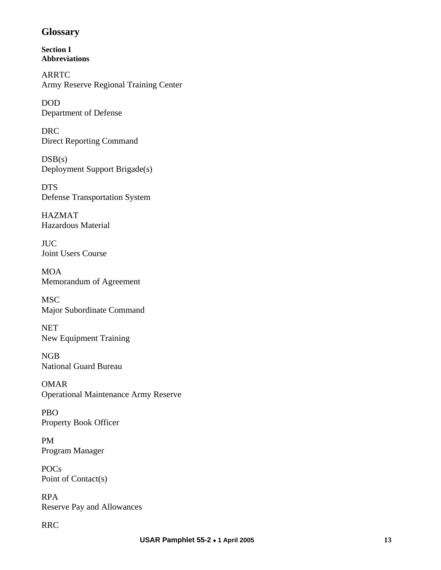### **Glossary**

**Section I Abbreviations** 

ARRTC Army Reserve Regional Training Center

DOD Department of Defense

DRC Direct Reporting Command

 $DSB(s)$ Deployment Support Brigade(s)

DTS Defense Transportation System

HAZMAT Hazardous Material

JUC Joint Users Course

MOA Memorandum of Agreement

MSC Major Subordinate Command

NET New Equipment Training

NGB National Guard Bureau

OMAR Operational Maintenance Army Reserve

PBO Property Book Officer

PM Program Manager

POCs Point of Contact(s)

RPA Reserve Pay and Allowances

RRC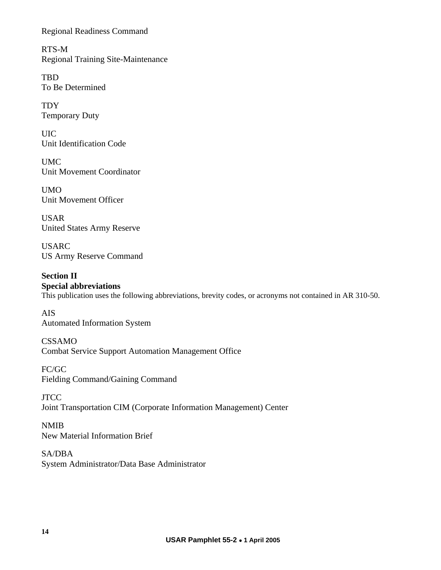Regional Readiness Command

RTS-M Regional Training Site-Maintenance

TBD To Be Determined

TDY Temporary Duty

UIC Unit Identification Code

UMC Unit Movement Coordinator

UMO Unit Movement Officer

USAR United States Army Reserve

USARC US Army Reserve Command

**Section II Special abbreviations**  This publication uses the following abbreviations, brevity codes, or acronyms not contained in AR 310-50.

AIS Automated Information System

CSSAMO Combat Service Support Automation Management Office

FC/GC Fielding Command/Gaining Command

**JTCC** Joint Transportation CIM (Corporate Information Management) Center

NMIB New Material Information Brief

SA/DBA System Administrator/Data Base Administrator